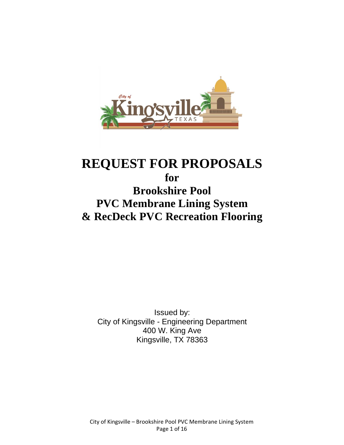

# **REQUEST FOR PROPOSALS for Brookshire Pool PVC Membrane Lining System & RecDeck PVC Recreation Flooring**

Issued by: City of Kingsville - Engineering Department 400 W. King Ave Kingsville, TX 78363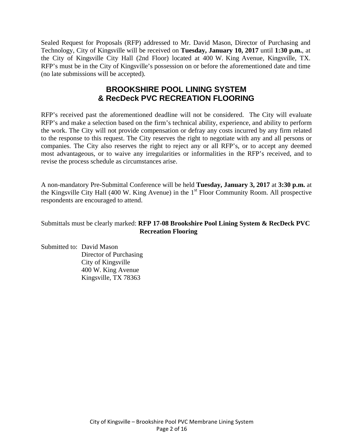Sealed Request for Proposals (RFP) addressed to Mr. David Mason, Director of Purchasing and Technology, City of Kingsville will be received on **Tuesday, January 10, 2017** until **1:30 p.m.**, at the City of Kingsville City Hall (2nd Floor) located at 400 W. King Avenue, Kingsville, TX. RFP's must be in the City of Kingsville's possession on or before the aforementioned date and time (no late submissions will be accepted).

# **BROOKSHIRE POOL LINING SYSTEM & RecDeck PVC RECREATION FLOORING**

RFP's received past the aforementioned deadline will not be considered. The City will evaluate RFP's and make a selection based on the firm's technical ability, experience, and ability to perform the work. The City will not provide compensation or defray any costs incurred by any firm related to the response to this request. The City reserves the right to negotiate with any and all persons or companies. The City also reserves the right to reject any or all RFP's, or to accept any deemed most advantageous, or to waive any irregularities or informalities in the RFP's received, and to revise the process schedule as circumstances arise.

A non-mandatory Pre-Submittal Conference will be held **Tuesday, January 3, 2017** at **3:30 p.m.** at the Kingsville City Hall (400 W. King Avenue) in the  $1<sup>st</sup>$  Floor Community Room. All prospective respondents are encouraged to attend.

Submittals must be clearly marked: **RFP 17-08 Brookshire Pool Lining System & RecDeck PVC Recreation Flooring** 

Submitted to: David Mason Director of Purchasing City of Kingsville 400 W. King Avenue Kingsville, TX 78363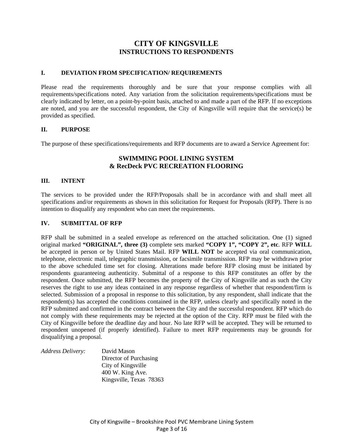### **CITY OF KINGSVILLE INSTRUCTIONS TO RESPONDENTS**

#### **I. DEVIATION FROM SPECIFICATION/ REQUIREMENTS**

Please read the requirements thoroughly and be sure that your response complies with all requirements/specifications noted. Any variation from the solicitation requirements/specifications must be clearly indicated by letter, on a point-by-point basis, attached to and made a part of the RFP. If no exceptions are noted, and you are the successful respondent, the City of Kingsville will require that the service(s) be provided as specified.

#### **II. PURPOSE**

The purpose of these specifications/requirements and RFP documents are to award a Service Agreement for:

#### **SWIMMING POOL LINING SYSTEM & RecDeck PVC RECREATION FLOORING**

#### **III. INTENT**

The services to be provided under the RFP/Proposals shall be in accordance with and shall meet all specifications and/or requirements as shown in this solicitation for Request for Proposals (RFP). There is no intention to disqualify any respondent who can meet the requirements.

#### **IV. SUBMITTAL OF RFP**

RFP shall be submitted in a sealed envelope as referenced on the attached solicitation. One (1) signed original marked **"ORIGINAL", three (3)** complete sets marked **"COPY 1", "COPY 2", etc**. RFP **WILL** be accepted in person or by United States Mail. RFP **WILL NOT** be accepted via oral communication, telephone, electronic mail, telegraphic transmission, or facsimile transmission. RFP may be withdrawn prior to the above scheduled time set for closing. Alterations made before RFP closing must be initiated by respondents guaranteeing authenticity. Submittal of a response to this RFP constitutes an offer by the respondent. Once submitted, the RFP becomes the property of the City of Kingsville and as such the City reserves the right to use any ideas contained in any response regardless of whether that respondent/firm is selected. Submission of a proposal in response to this solicitation, by any respondent, shall indicate that the respondent(s) has accepted the conditions contained in the RFP, unless clearly and specifically noted in the RFP submitted and confirmed in the contract between the City and the successful respondent. RFP which do not comply with these requirements may be rejected at the option of the City. RFP must be filed with the City of Kingsville before the deadline day and hour. No late RFP will be accepted. They will be returned to respondent unopened (if properly identified). Failure to meet RFP requirements may be grounds for disqualifying a proposal.

| Address Delivery: | David Mason             |
|-------------------|-------------------------|
|                   | Director of Purchasing  |
|                   | City of Kingsville      |
|                   | 400 W. King Ave.        |
|                   | Kingsville, Texas 78363 |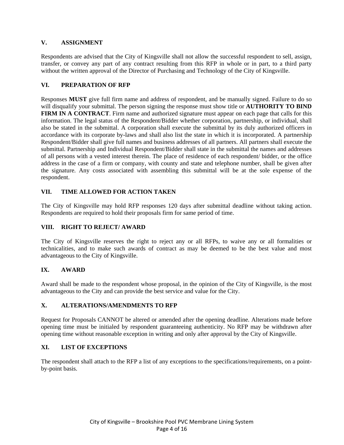#### **V. ASSIGNMENT**

Respondents are advised that the City of Kingsville shall not allow the successful respondent to sell, assign, transfer, or convey any part of any contract resulting from this RFP in whole or in part, to a third party without the written approval of the Director of Purchasing and Technology of the City of Kingsville.

#### **VI. PREPARATION OF RFP**

Responses **MUST** give full firm name and address of respondent, and be manually signed. Failure to do so will disqualify your submittal. The person signing the response must show title or **AUTHORITY TO BIND FIRM IN A CONTRACT**. Firm name and authorized signature must appear on each page that calls for this information. The legal status of the Respondent/Bidder whether corporation, partnership, or individual, shall also be stated in the submittal. A corporation shall execute the submittal by its duly authorized officers in accordance with its corporate by-laws and shall also list the state in which it is incorporated. A partnership Respondent/Bidder shall give full names and business addresses of all partners. All partners shall execute the submittal. Partnership and Individual Respondent/Bidder shall state in the submittal the names and addresses of all persons with a vested interest therein. The place of residence of each respondent/ bidder, or the office address in the case of a firm or company, with county and state and telephone number, shall be given after the signature. Any costs associated with assembling this submittal will be at the sole expense of the respondent.

#### **VII. TIME ALLOWED FOR ACTION TAKEN**

The City of Kingsville may hold RFP responses 120 days after submittal deadline without taking action. Respondents are required to hold their proposals firm for same period of time.

#### **VIII. RIGHT TO REJECT/ AWARD**

The City of Kingsville reserves the right to reject any or all RFPs, to waive any or all formalities or technicalities, and to make such awards of contract as may be deemed to be the best value and most advantageous to the City of Kingsville.

#### **IX. AWARD**

Award shall be made to the respondent whose proposal, in the opinion of the City of Kingsville, is the most advantageous to the City and can provide the best service and value for the City.

#### **X. ALTERATIONS/AMENDMENTS TO RFP**

Request for Proposals CANNOT be altered or amended after the opening deadline. Alterations made before opening time must be initialed by respondent guaranteeing authenticity. No RFP may be withdrawn after opening time without reasonable exception in writing and only after approval by the City of Kingsville.

#### **XI. LIST OF EXCEPTIONS**

The respondent shall attach to the RFP a list of any exceptions to the specifications/requirements, on a pointby-point basis.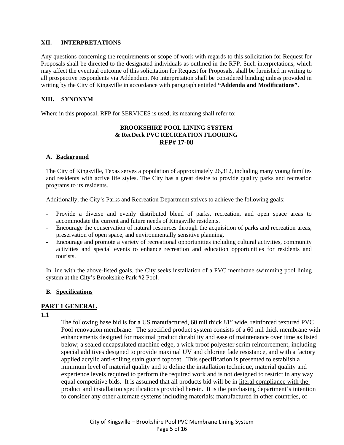#### **XII. INTERPRETATIONS**

Any questions concerning the requirements or scope of work with regards to this solicitation for Request for Proposals shall be directed to the designated individuals as outlined in the RFP. Such interpretations, which may affect the eventual outcome of this solicitation for Request for Proposals, shall be furnished in writing to all prospective respondents via Addendum. No interpretation shall be considered binding unless provided in writing by the City of Kingsville in accordance with paragraph entitled **"Addenda and Modifications"**.

#### **XIII. SYNONYM**

Where in this proposal, RFP for SERVICES is used; its meaning shall refer to:

#### **BROOKSHIRE POOL LINING SYSTEM & RecDeck PVC RECREATION FLOORING RFP# 17-08**

#### **A. Background**

The City of Kingsville, Texas serves a population of approximately 26,312, including many young families and residents with active life styles. The City has a great desire to provide quality parks and recreation programs to its residents.

Additionally, the City's Parks and Recreation Department strives to achieve the following goals:

- Provide a diverse and evenly distributed blend of parks, recreation, and open space areas to accommodate the current and future needs of Kingsville residents.
- Encourage the conservation of natural resources through the acquisition of parks and recreation areas, preservation of open space, and environmentally sensitive planning.
- Encourage and promote a variety of recreational opportunities including cultural activities, community activities and special events to enhance recreation and education opportunities for residents and tourists.

In line with the above-listed goals, the City seeks installation of a PVC membrane swimming pool lining system at the City's Brookshire Park #2 Pool.

#### **B. Specifications**

#### **PART 1 GENERAL**

#### **1.1**

The following base bid is for a US manufactured, 60 mil thick 81" wide, reinforced textured PVC Pool renovation membrane. The specified product system consists of a 60 mil thick membrane with enhancements designed for maximal product durability and ease of maintenance over time as listed below; a sealed encapsulated machine edge, a wick proof polyester scrim reinforcement, including special additives designed to provide maximal UV and chlorine fade resistance, and with a factory applied acrylic anti-soiling stain guard topcoat. This specification is presented to establish a minimum level of material quality and to define the installation technique, material quality and experience levels required to perform the required work and is not designed to restrict in any way equal competitive bids. It is assumed that all products bid will be in literal compliance with the product and installation specifications provided herein. It is the purchasing department's intention to consider any other alternate systems including materials; manufactured in other countries, of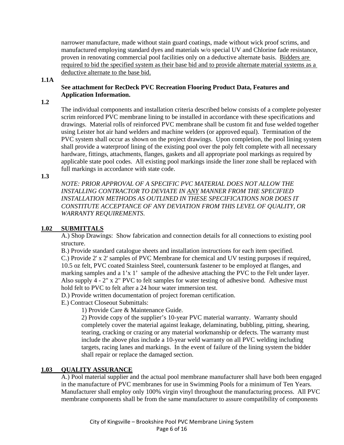narrower manufacture, made without stain guard coatings, made without wick proof scrims, and manufactured employing standard dyes and materials w/o special UV and Chlorine fade resistance, proven in renovating commercial pool facilities only on a deductive alternate basis. Bidders are required to bid the specified system as their base bid and to provide alternate material systems as a deductive alternate to the base bid.

#### **1.1A**

#### **See attachment for RecDeck PVC Recreation Flooring Product Data, Features and Application Information.**

**1.2**

The individual components and installation criteria described below consists of a complete polyester scrim reinforced PVC membrane lining to be installed in accordance with these specifications and drawings. Material rolls of reinforced PVC membrane shall be custom fit and fuse welded together using Leister hot air hand welders and machine welders (or approved equal). Termination of the PVC system shall occur as shown on the project drawings. Upon completion, the pool lining system shall provide a waterproof lining of the existing pool over the poly felt complete with all necessary hardware, fittings, attachments, flanges, gaskets and all appropriate pool markings as required by applicable state pool codes. All existing pool markings inside the liner zone shall be replaced with full markings in accordance with state code.

**1.3**

*NOTE: PRIOR APPROVAL OF A SPECIFIC PVC MATERIAL DOES NOT ALLOW THE INSTALLING CONTRACTOR TO DEVIATE IN ANY MANNER FROM THE SPECIFIED INSTALLATION METHODS AS OUTLINED IN THESE SPECIFICATIONS NOR DOES IT CONSTITUTE ACCEPTANCE OF ANY DEVIATION FROM THIS LEVEL OF QUALITY, OR WARRANTY REQUIREMENTS*.

#### **1.02 SUBMITTALS**

A.) Shop Drawings: Show fabrication and connection details for all connections to existing pool structure.

B.) Provide standard catalogue sheets and installation instructions for each item specified. C.) Provide 2' x 2' samples of PVC Membrane for chemical and UV testing purposes if required, 10.5 oz felt, PVC coated Stainless Steel, countersunk fastener to be employed at flanges, and marking samples and a 1'x 1' sample of the adhesive attaching the PVC to the Felt under layer. Also supply 4 - 2" x 2" PVC to felt samples for water testing of adhesive bond. Adhesive must hold felt to PVC to felt after a 24 hour water immersion test.

D.) Provide written documentation of project foreman certification.

E.) Contract Closeout Submittals:

1) Provide Care & Maintenance Guide.

 2) Provide copy of the supplier's 10-year PVC material warranty. Warranty should completely cover the material against leakage, delaminating, bubbling, pitting, shearing, tearing, cracking or crazing or any material workmanship or defects. The warranty must include the above plus include a 10-year weld warranty on all PVC welding including targets, racing lanes and markings. In the event of failure of the lining system the bidder shall repair or replace the damaged section.

#### **1.03 QUALITY ASSURANCE**

 A.) Pool material supplier and the actual pool membrane manufacturer shall have both been engaged in the manufacture of PVC membranes for use in Swimming Pools for a minimum of Ten Years. Manufacturer shall employ only 100% virgin vinyl throughout the manufacturing process. All PVC membrane components shall be from the same manufacturer to assure compatibility of components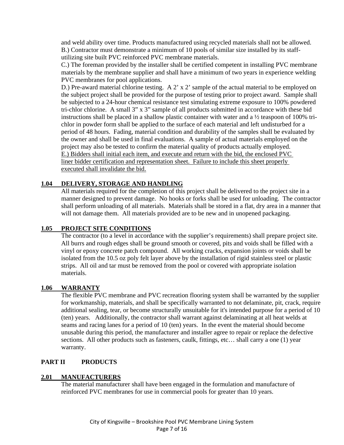and weld ability over time. Products manufactured using recycled materials shall not be allowed. B.) Contractor must demonstrate a minimum of 10 pools of similar size installed by its staffutilizing site built PVC reinforced PVC membrane materials.

 C.) The foreman provided by the installer shall be certified competent in installing PVC membrane materials by the membrane supplier and shall have a minimum of two years in experience welding PVC membranes for pool applications.

D.) Pre-award material chlorine testing. A 2' x 2' sample of the actual material to be employed on the subject project shall be provided for the purpose of testing prior to project award. Sample shall be subjected to a 24-hour chemical resistance test simulating extreme exposure to 100% powdered tri-chlor chlorine. A small 3" x 3" sample of all products submitted in accordance with these bid instructions shall be placed in a shallow plastic container with water and a ½ teaspoon of 100% trichlor in powder form shall be applied to the surface of each material and left undisturbed for a period of 48 hours. Fading, material condition and durability of the samples shall be evaluated by the owner and shall be used in final evaluations. A sample of actual materials employed on the project may also be tested to confirm the material quality of products actually employed. E.) Bidders shall initial each item, and execute and return with the bid, the enclosed PVC liner bidder certification and representation sheet. Failure to include this sheet properly executed shall invalidate the bid.

#### **1.04 DELIVERY, STORAGE AND HANDLING**

All materials required for the completion of this project shall be delivered to the project site in a manner designed to prevent damage. No hooks or forks shall be used for unloading. The contractor shall perform unloading of all materials. Materials shall be stored in a flat, dry area in a manner that will not damage them. All materials provided are to be new and in unopened packaging.

#### **1.05 PROJECT SITE CONDITIONS**

The contractor (to a level in accordance with the supplier's requirements) shall prepare project site. All burrs and rough edges shall be ground smooth or covered, pits and voids shall be filled with a vinyl or epoxy concrete patch compound. All working cracks, expansion joints or voids shall be isolated from the 10.5 oz poly felt layer above by the installation of rigid stainless steel or plastic strips. All oil and tar must be removed from the pool or covered with appropriate isolation materials.

#### **1.06 WARRANTY**

The flexible PVC membrane and PVC recreation flooring system shall be warranted by the supplier for workmanship, materials, and shall be specifically warranted to not delaminate, pit, crack, require additional sealing, tear, or become structurally unsuitable for it's intended purpose for a period of 10 (ten) years. Additionally, the contractor shall warrant against delaminating at all heat welds at seams and racing lanes for a period of 10 (ten) years. In the event the material should become unusable during this period, the manufacturer and installer agree to repair or replace the defective sections. All other products such as fasteners, caulk, fittings, etc... shall carry a one (1) year warranty.

#### **PART II PRODUCTS**

#### **2.01 MANUFACTURERS**

The material manufacturer shall have been engaged in the formulation and manufacture of reinforced PVC membranes for use in commercial pools for greater than 10 years.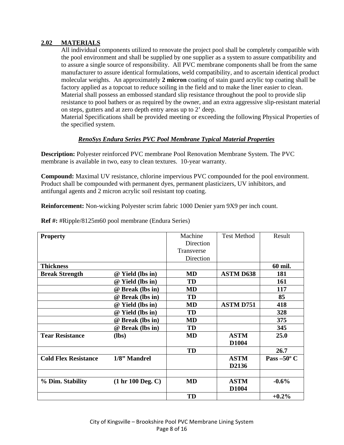#### **2.02 MATERIALS**

All individual components utilized to renovate the project pool shall be completely compatible with the pool environment and shall be supplied by one supplier as a system to assure compatibility and to assure a single source of responsibility. All PVC membrane components shall be from the same manufacturer to assure identical formulations, weld compatibility, and to ascertain identical product molecular weights. An approximately **2 micron** coating of stain guard acrylic top coating shall be factory applied as a topcoat to reduce soiling in the field and to make the liner easier to clean. Material shall possess an embossed standard slip resistance throughout the pool to provide slip resistance to pool bathers or as required by the owner, and an extra aggressive slip-resistant material on steps, gutters and at zero depth entry areas up to 2' deep.

Material Specifications shall be provided meeting or exceeding the following Physical Properties of the specified system.

#### *RenoSys Endura Series PVC Pool Membrane Typical Material Properties*

**Description:** Polyester reinforced PVC membrane Pool Renovation Membrane System. The PVC membrane is available in two, easy to clean textures. 10-year warranty.

**Compound:** Maximal UV resistance, chlorine impervious PVC compounded for the pool environment. Product shall be compounded with permanent dyes, permanent plasticizers, UV inhibitors, and antifungal agents and 2 micron acrylic soil resistant top coating.

**Reinforcement:** Non-wicking Polyester scrim fabric 1000 Denier yarn 9X9 per inch count.

**Ref #:** #Ripple/8125m60 pool membrane (Endura Series)

| <b>Property</b>             |                   | Machine    | <b>Test Method</b> | Result               |
|-----------------------------|-------------------|------------|--------------------|----------------------|
|                             |                   | Direction  |                    |                      |
|                             |                   | Transverse |                    |                      |
|                             |                   | Direction  |                    |                      |
| <b>Thickness</b>            |                   |            |                    | 60 mil.              |
| <b>Break Strength</b>       | @ Yield (lbs in)  | MD         | <b>ASTM D638</b>   | 181                  |
|                             | @ Yield (lbs in)  | TD         |                    | 161                  |
|                             | @ Break (lbs in)  | <b>MD</b>  |                    | 117                  |
|                             | @ Break (lbs in)  | TD         |                    | 85                   |
|                             | @ Yield (lbs in)  | <b>MD</b>  | <b>ASTM D751</b>   | 418                  |
|                             | @ Yield (lbs in)  | TD         |                    | 328                  |
|                             | @ Break (lbs in)  | <b>MD</b>  |                    | 375                  |
|                             | @ Break (lbs in)  | TD         |                    | 345                  |
| <b>Tear Resistance</b>      | $(lbs)$           | <b>MD</b>  | <b>ASTM</b>        | 25.0                 |
|                             |                   |            | D1004              |                      |
|                             |                   | <b>TD</b>  |                    | 26.7                 |
| <b>Cold Flex Resistance</b> | 1/8" Mandrel      |            | <b>ASTM</b>        | Pass $-50^{\circ}$ C |
|                             |                   |            | D2136              |                      |
|                             |                   |            |                    |                      |
| % Dim. Stability            | (1 hr 100 Deg. C) | <b>MD</b>  | <b>ASTM</b>        | $-0.6%$              |
|                             |                   |            | D1004              |                      |
|                             |                   | TD         |                    | $+0.2\%$             |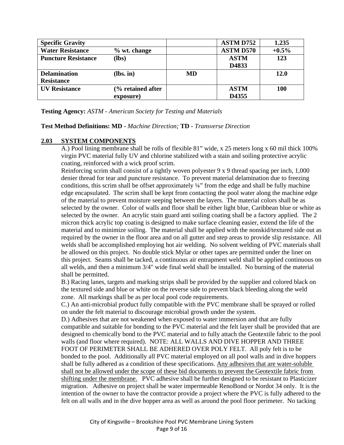| <b>Specific Gravity</b>    |                   |     | <b>ASTM D752</b> | 1.235       |
|----------------------------|-------------------|-----|------------------|-------------|
| <b>Water Resistance</b>    | $%$ wt. change    |     | <b>ASTM D570</b> | $+0.5\%$    |
| <b>Puncture Resistance</b> | $(lbs)$           |     | <b>ASTM</b>      | 123         |
|                            |                   |     | D4833            |             |
| <b>Delamination</b>        | $(lbs. in)$       | MD. |                  | <b>12.0</b> |
| <b>Resistance</b>          |                   |     |                  |             |
| <b>UV Resistance</b>       | (% retained after |     | <b>ASTM</b>      | <b>100</b>  |
|                            | exposure)         |     | D4355            |             |

**Testing Agency:** *ASTM - American Society for Testing and Materials* 

**Test Method Definitions: MD -** *Machine Direction;* **TD -** *Transverse Direction* 

#### **2.03 SYSTEM COMPONENTS**

 A.) Pool lining membrane shall be rolls of flexible 81" wide, x 25 meters long x 60 mil thick 100% virgin PVC material fully UV and chlorine stabilized with a stain and soiling protective acrylic coating, reinforced with a wick proof scrim.

Reinforcing scrim shall consist of a tightly woven polyester 9 x 9 thread spacing per inch, 1,000 denier thread for tear and puncture resistance. To prevent material delamination due to freezing conditions, this scrim shall be offset approximately ¼" from the edge and shall be fully machine edge encapsulated. The scrim shall be kept from contacting the pool water along the machine edge of the material to prevent moisture seeping between the layers. The material colors shall be as selected by the owner. Color of walls and floor shall be either light blue, Caribbean blue or white as selected by the owner. An acrylic stain guard anti soiling coating shall be a factory applied. The 2 micron thick acrylic top coating is designed to make surface cleaning easier, extend the life of the material and to minimize soiling. The material shall be applied with the nonskid/textured side out as required by the owner in the floor area and on all gutter and step areas to provide slip resistance. All welds shall be accomplished employing hot air welding. No solvent welding of PVC materials shall be allowed on this project. No double stick Mylar or other tapes are permitted under the liner on this project. Seams shall be tacked, a continuous air entrapment weld shall be applied continuous on all welds, and then a minimum 3/4" wide final weld shall be installed. No burning of the material shall be permitted.

 B.) Racing lanes, targets and marking strips shall be provided by the supplier and colored black on the textured side and blue or white on the reverse side to prevent black bleeding along the weld zone. All markings shall be as per local pool code requirements.

 C.) An anti-microbial product fully compatible with the PVC membrane shall be sprayed or rolled on under the felt material to discourage microbial growth under the system.

 D.) Adhesives that are not weakened when exposed to water immersion and that are fully compatible and suitable for bonding to the PVC material and the felt layer shall be provided that are designed to chemically bond to the PVC material and to fully attach the Geotextile fabric to the pool walls (and floor where required). NOTE: ALL WALLS AND DIVE HOPPER AND THREE FOOT OF PERIMETER SHALL BE ADHERED OVER POLY FELT. All poly felt is to be bonded to the pool. Additionally all PVC material employed on all pool walls and in dive hoppers shall be fully adhered as a condition of these specifications. Any adhesives that are water-soluble shall not be allowed under the scope of these bid documents to prevent the Geotextile fabric from shifting under the membrane. PVC adhesive shall be further designed to be resistant to Plasticizer migration. Adhesive on project shall be water impermeable RenoBond or Nordot 34 only. It is the intention of the owner to have the contractor provide a project where the PVC is fully adhered to the felt on all walls and in the dive hopper area as well as around the pool floor perimeter. No tacking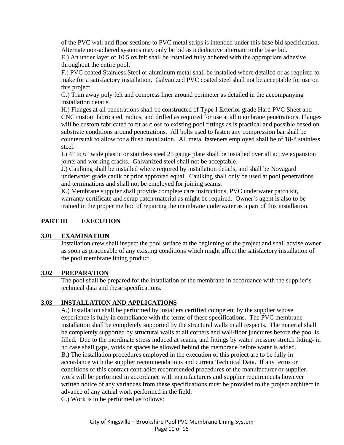of the PVC wall and floor sections to PVC metal strips is intended under this base bid specification. Alternate non-adhered systems may only be bid as a deductive alternate to the base bid. E.) An under layer of 10.5 oz felt shall be installed fully adhered with the appropriate adhesive throughout the entire pool.

 F.) PVC coated Stainless Steel or aluminum metal shall be installed where detailed or as required to make for a satisfactory installation. Galvanized PVC coated steel shall not be acceptable for use on this project.

 G.) Trim away poly felt and compress liner around perimeter as detailed in the accompanying installation details.

 H.) Flanges at all penetrations shall be constructed of Type I Exterior grade Hard PVC Sheet and CNC custom fabricated, radius, and drilled as required for use at all membrane penetrations. Flanges will be custom fabricated to fit as close to existing pool fittings as is practical and possible based on substrate conditions around penetrations. All bolts used to fasten any compression bar shall be countersunk to allow for a flush installation. All metal fasteners employed shall be of 18-8 stainless steel.

 I.) 4" to 6" wide plastic or stainless steel 25 gauge plate shall be installed over all active expansion joints and working cracks. Galvanized steel shall not be acceptable.

 J.) Caulking shall be installed where required by installation details, and shall be Novagard underwater grade caulk or prior approved equal. Caulking shall only be used at pool penetrations and terminations and shall not be employed for joining seams.

 K.) Membrane supplier shall provide complete care instructions, PVC underwater patch kit, warranty certificate and scrap patch material as might be required. Owner's agent is also to be trained in the proper method of repairing the membrane underwater as a part of this installation.

#### **PART III EXECUTION**

#### **3.01 EXAMINATION**

Installation crew shall inspect the pool surface at the beginning of the project and shall advise owner as soon as practicable of any existing conditions which might affect the satisfactory installation of the pool membrane lining product.

#### **3.02 PREPARATION**

The pool shall be prepared for the installation of the membrane in accordance with the supplier's technical data and these specifications.

#### **3.03 INSTALLATION AND APPLICATIONS**

 A.) Installation shall be performed by installers certified competent by the supplier whose experience is fully in compliance with the terms of these specifications. The PVC membrane installation shall be completely supported by the structural walls in all respects. The material shall be completely supported by structural walls at all corners and wall/floor junctures before the pool is filled. Due to the inordinate stress induced at seams, and fittings by water pressure stretch fitting- in no case shall gaps, voids or spaces be allowed behind the membrane before water is added. B.) The installation procedures employed in the execution of this project are to be fully in accordance with the supplier recommendations and current Technical Data. If any terms or conditions of this contract contradict recommended procedures of the manufacturer or supplier, work will be performed in accordance with manufacturers and supplier requirements however written notice of any variances from these specifications must be provided to the project architect in advance of any actual work performed in the field.

C.) Work is to be performed as follows: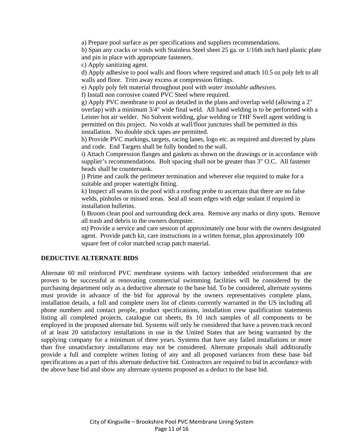a) Prepare pool surface as per specifications and suppliers recommendations.

b) Span any cracks or voids with Stainless Steel sheet 25 ga. or 1/16th inch hard plastic plate and pin in place with appropriate fasteners.

c) Apply sanitizing agent.

d) Apply adhesive to pool walls and floors where required and attach 10.5 oz poly felt to all walls and floor. Trim away excess at compression fittings.

e) Apply poly felt material throughout pool with *water insoluble adhesives*.

f) Install non corrosive coated PVC Steel where required.

g) Apply PVC membrane to pool as detailed in the plans and overlap weld (allowing a 2" overlap) with a minimum 3/4" wide final weld. All hand welding is to be performed with a Leister hot air welder. No Solvent welding, glue welding or THF Swell agent welding is permitted on this project. No voids at wall/floor junctures shall be permitted in this installation. No double stick tapes are permitted.

h) Provide PVC markings, targets, racing lanes, logo etc. as required and directed by plans and code. End Targets shall be fully bonded to the wall.

i) Attach Compression flanges and gaskets as shown on the drawings or in accordance with supplier's recommendations. Bolt spacing shall not be greater than 3" O.C. All fastener heads shall be countersunk.

j) Prime and caulk the perimeter termination and wherever else required to make for a suitable and proper watertight fitting.

k) Inspect all seams in the pool with a roofing probe to ascertain that there are no false welds, pinholes or missed areas. Seal all seam edges with edge sealant if required in installation bulletins.

l) Broom clean pool and surrounding deck area. Remove any marks or dirty spots. Remove all trash and debris to the owners dumpster.

m) Provide a service and care session of approximately one hour with the owners designated agent. Provide patch kit, care instructions in a written format, plus approximately 100 square feet of color matched scrap patch material.

#### **DEDUCTIVE ALTERNATE BIDS**

Alternate 60 mil reinforced PVC membrane systems with factory imbedded reinforcement that are proven to be successful at renovating commercial swimming facilities will be considered by the purchasing department only as a deductive alternate to the base bid. To be considered, alternate systems must provide in advance of the bid for approval by the owners representatives complete plans, installation details, a full and complete users list of clients currently warranted in the US including all phone numbers and contact people, product specifications, installation crew qualification statements listing all completed projects, catalogue cut sheets, 8x 10 inch samples of all components to be employed in the proposed alternate bid. Systems will only be considered that have a proven track record of at least 20 satisfactory installations in use in the United States that are being warranted by the supplying company for a minimum of three years. Systems that have any failed installations or more than five unsatisfactory installations may not be considered. Alternate proposals shall additionally provide a full and complete written listing of any and all proposed variances from these base bid specifications as a part of this alternate deductive bid. Contractors are required to bid in accordance with the above base bid and show any alternate systems proposed as a deduct to the base bid.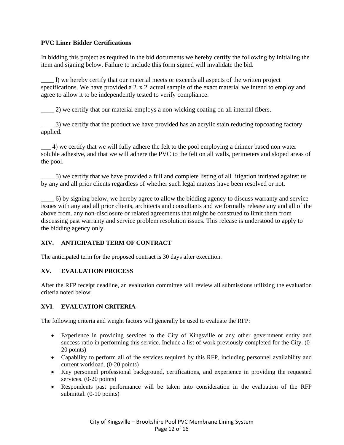#### **PVC Liner Bidder Certifications**

In bidding this project as required in the bid documents we hereby certify the following by initialing the item and signing below. Failure to include this form signed will invalidate the bid.

\_\_\_\_ l) we hereby certify that our material meets or exceeds all aspects of the written project specifications. We have provided a 2' x 2' actual sample of the exact material we intend to employ and agree to allow it to be independently tested to verify compliance.

\_\_\_\_ 2) we certify that our material employs a non-wicking coating on all internal fibers.

\_\_\_\_ 3) we certify that the product we have provided has an acrylic stain reducing topcoating factory applied.

\_\_\_ 4) we certify that we will fully adhere the felt to the pool employing a thinner based non water soluble adhesive, and that we will adhere the PVC to the felt on all walls, perimeters and sloped areas of the pool.

\_\_\_\_ 5) we certify that we have provided a full and complete listing of all litigation initiated against us by any and all prior clients regardless of whether such legal matters have been resolved or not.

\_\_\_\_ 6) by signing below, we hereby agree to allow the bidding agency to discuss warranty and service issues with any and all prior clients, architects and consultants and we formally release any and all of the above from. any non-disclosure or related agreements that might be construed to limit them from discussing past warranty and service problem resolution issues. This release is understood to apply to the bidding agency only.

#### **XIV. ANTICIPATED TERM OF CONTRACT**

The anticipated term for the proposed contract is 30 days after execution.

#### **XV. EVALUATION PROCESS**

After the RFP receipt deadline, an evaluation committee will review all submissions utilizing the evaluation criteria noted below.

#### **XVI. EVALUATION CRITERIA**

The following criteria and weight factors will generally be used to evaluate the RFP:

- Experience in providing services to the City of Kingsville or any other government entity and success ratio in performing this service. Include a list of work previously completed for the City. (0- 20 points)
- Capability to perform all of the services required by this RFP, including personnel availability and current workload. (0-20 points)
- Key personnel professional background, certifications, and experience in providing the requested services. (0-20 points)
- Respondents past performance will be taken into consideration in the evaluation of the RFP submittal. (0-10 points)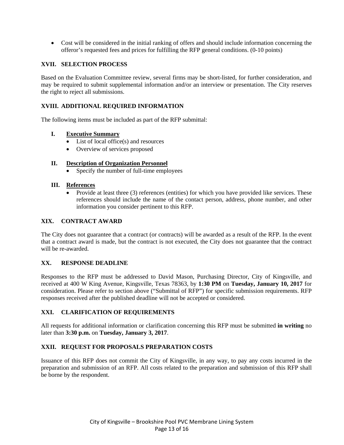Cost will be considered in the initial ranking of offers and should include information concerning the offeror's requested fees and prices for fulfilling the RFP general conditions. (0-10 points)

#### **XVII. SELECTION PROCESS**

Based on the Evaluation Committee review, several firms may be short-listed, for further consideration, and may be required to submit supplemental information and/or an interview or presentation. The City reserves the right to reject all submissions.

#### **XVIII. ADDITIONAL REQUIRED INFORMATION**

The following items must be included as part of the RFP submittal:

#### **I. Executive Summary**

- List of local office(s) and resources
- Overview of services proposed

#### **II. Description of Organization Personnel**

Specify the number of full-time employees

#### **III. References**

 Provide at least three (3) references (entities) for which you have provided like services. These references should include the name of the contact person, address, phone number, and other information you consider pertinent to this RFP.

#### **XIX. CONTRACT AWARD**

The City does not guarantee that a contract (or contracts) will be awarded as a result of the RFP. In the event that a contract award is made, but the contract is not executed, the City does not guarantee that the contract will be re-awarded.

#### **XX. RESPONSE DEADLINE**

Responses to the RFP must be addressed to David Mason, Purchasing Director, City of Kingsville, and received at 400 W King Avenue, Kingsville, Texas 78363, by **1:30 PM** on **Tuesday, January 10, 2017** for consideration. Please refer to section above ("Submittal of RFP") for specific submission requirements. RFP responses received after the published deadline will not be accepted or considered.

#### **XXI. CLARIFICATION OF REQUIREMENTS**

All requests for additional information or clarification concerning this RFP must be submitted **in writing** no later than **3:30 p.m.** on **Tuesday, January 3, 2017**.

#### **XXII. REQUEST FOR PROPOSALS PREPARATION COSTS**

Issuance of this RFP does not commit the City of Kingsville, in any way, to pay any costs incurred in the preparation and submission of an RFP. All costs related to the preparation and submission of this RFP shall be borne by the respondent.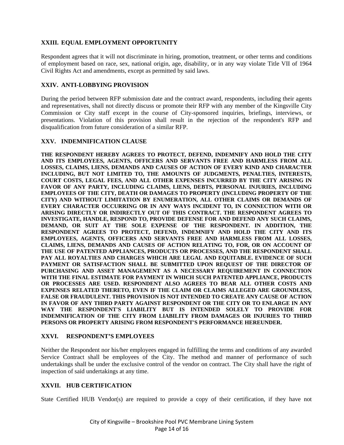#### **XXIII. EQUAL EMPLOYMENT OPPORTUNITY**

Respondent agrees that it will not discriminate in hiring, promotion, treatment, or other terms and conditions of employment based on race, sex, national origin, age, disability, or in any way violate Title VII of 1964 Civil Rights Act and amendments, except as permitted by said laws.

#### **XXIV. ANTI-LOBBYING PROVISION**

During the period between RFP submission date and the contract award, respondents, including their agents and representatives, shall not directly discuss or promote their RFP with any member of the Kingsville City Commission or City staff except in the course of City-sponsored inquiries, briefings, interviews, or presentations. Violation of this provision shall result in the rejection of the respondent's RFP and disqualification from future consideration of a similar RFP.

#### **XXV. INDEMNIFICATION CLAUSE**

**THE RESPONDENT HEREBY AGREES TO PROTECT, DEFEND, INDEMNIFY AND HOLD THE CITY AND ITS EMPLOYEES, AGENTS, OFFICERS AND SERVANTS FREE AND HARMLESS FROM ALL LOSSES, CLAIMS, LIENS, DEMANDS AND CAUSES OF ACTION OF EVERY KIND AND CHARACTER INCLUDING, BUT NOT LIMITED TO, THE AMOUNTS OF JUDGMENTS, PENALTIES, INTERESTS, COURT COSTS, LEGAL FEES, AND ALL OTHER EXPENSES INCURRED BY THE CITY ARISING IN FAVOR OF ANY PARTY, INCLUDING CLAIMS, LIENS, DEBTS, PERSONAL INJURIES, INCLUDING EMPLOYEES OF THE CITY, DEATH OR DAMAGES TO PROPERTY (INCLUDING PROPERTY OF THE CITY) AND WITHOUT LIMITATION BY ENUMERATION, ALL OTHER CLAIMS OR DEMANDS OF EVERY CHARACTER OCCURRING OR IN ANY WAYS INCIDENT TO, IN CONNECTION WITH OR ARISING DIRECTLY OR INDIRECTLY OUT OF THIS CONTRACT. THE RESPONDENT AGREES TO INVESTIGATE, HANDLE, RESPOND TO, PROVIDE DEFENSE FOR AND DEFEND ANY SUCH CLAIMS, DEMAND, OR SUIT AT THE SOLE EXPENSE OF THE RESPONDENT. IN ADDITION, THE RESPONDENT AGREES TO PROTECT, DEFEND, INDEMNIFY AND HOLD THE CITY AND ITS EMPLOYEES, AGENTS, OFFICERS AND SERVANTS FREE AND HARMLESS FROM ALL LOSSES, CLAIMS, LIENS, DEMANDS AND CAUSES OF ACTION RELATING TO, FOR, OR ON ACCOUNT OF THE USE OF PATENTED APPLIANCES, PRODUCTS OR PROCESSES, AND THE RESPONDENT SHALL PAY ALL ROYALTIES AND CHARGES WHICH ARE LEGAL AND EQUITABLE. EVIDENCE OF SUCH PAYMENT OR SATISFACTION SHALL BE SUBMITTED UPON REQUEST OF THE DIRECTOR OF PURCHASING AND ASSET MANAGEMENT AS A NECESSARY REQUIREMENT IN CONNECTION WITH THE FINAL ESTIMATE FOR PAYMENT IN WHICH SUCH PATENTED APPLIANCE, PRODUCTS OR PROCESSES ARE USED. RESPONDENT ALSO AGREES TO BEAR ALL OTHER COSTS AND EXPENSES RELATED THERETO, EVEN IF THE CLAIM OR CLAIMS ALLEGED ARE GROUNDLESS, FALSE OR FRAUDULENT. THIS PROVISION IS NOT INTENDED TO CREATE ANY CAUSE OF ACTION IN FAVOR OF ANY THIRD PARTY AGAINST RESPONDENT OR THE CITY OR TO ENLARGE IN ANY WAY THE RESPONDENT'S LIABILITY BUT IS INTENDED SOLELY TO PROVIDE FOR INDEMNIFICATION OF THE CITY FROM LIABILITY FROM DAMAGES OR INJURIES TO THIRD PERSONS OR PROPERTY ARISING FROM RESPONDENT'S PERFORMANCE HEREUNDER.** 

#### **XXVI. RESPONDENT'S EMPLOYEES**

Neither the Respondent nor his/her employees engaged in fulfilling the terms and conditions of any awarded Service Contract shall be employees of the City. The method and manner of performance of such undertakings shall be under the exclusive control of the vendor on contract. The City shall have the right of inspection of said undertakings at any time.

#### **XXVII. HUB CERTIFICATION**

State Certified HUB Vendor(s) are required to provide a copy of their certification, if they have not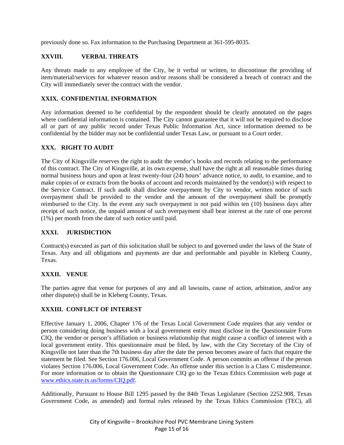previously done so. Fax information to the Purchasing Department at 361-595-8035.

#### **XXVIII. VERBAL THREATS**

Any threats made to any employee of the City, be it verbal or written, to discontinue the providing of item/material/services for whatever reason and/or reasons shall be considered a breach of contract and the City will immediately sever the contract with the vendor.

#### **XXIX. CONFIDENTIAL INFORMATION**

Any information deemed to be confidential by the respondent should be clearly annotated on the pages where confidential information is contained. The City cannot guarantee that it will not be required to disclose all or part of any public record under Texas Public Information Act, since information deemed to be confidential by the bidder may not be confidential under Texas Law, or pursuant to a Court order.

#### **XXX. RIGHT TO AUDIT**

The City of Kingsville reserves the right to audit the vendor's books and records relating to the performance of this contract. The City of Kingsville, at its own expense, shall have the right at all reasonable times during normal business hours and upon at least twenty-four (24) hours' advance notice, to audit, to examine, and to make copies of or extracts from the books of account and records maintained by the vendor(s) with respect to the Service Contract. If such audit shall disclose overpayment by City to vendor, written notice of such overpayment shall be provided to the vendor and the amount of the overpayment shall be promptly reimbursed to the City. In the event any such overpayment is not paid within ten (10) business days after receipt of such notice, the unpaid amount of such overpayment shall bear interest at the rate of one percent (1%) per month from the date of such notice until paid.

#### **XXXI. JURISDICTION**

Contract(s) executed as part of this solicitation shall be subject to and governed under the laws of the State of Texas. Any and all obligations and payments are due and performable and payable in Kleberg County, Texas.

#### **XXXII. VENUE**

The parties agree that venue for purposes of any and all lawsuits, cause of action, arbitration, and/or any other dispute(s) shall be in Kleberg County, Texas.

#### **XXXIII. CONFLICT OF INTEREST**

Effective January 1, 2006, Chapter 176 of the Texas Local Government Code requires that any vendor or person considering doing business with a local government entity must disclose in the Questionnaire Form CIQ, the vendor or person's affiliation or business relationship that might cause a conflict of interest with a local government entity. This questionnaire must be filed, by law, with the City Secretary of the City of Kingsville not later than the 7th business day after the date the person becomes aware of facts that require the statement be filed. See Section 176.006, Local Government Code. A person commits an offense if the person violates Section 176.006, Local Government Code. An offense under this section is a Class C misdemeanor. For more information or to obtain the Questionnaire CIQ go to the Texas Ethics Commission web page at www.ethics.state.tx.us/forms/CIQ.pdf.

Additionally, Pursuant to House Bill 1295 passed by the 84th Texas Legislature (Section 2252.908, Texas Government Code, as amended) and formal rules released by the Texas Ethics Commission (TEC), all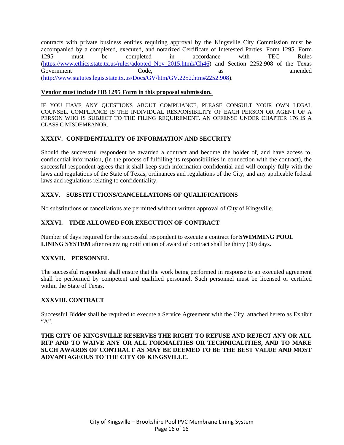contracts with private business entities requiring approval by the Kingsville City Commission must be accompanied by a completed, executed, and notarized Certificate of Interested Parties, Form 1295. Form 1295 must be completed in accordance with TEC Rules (https://www.ethics.state.tx.us/rules/adopted\_Nov\_2015.html#Ch46) and Section 2252.908 of the Texas Government Code, as a amended (http://www.statutes.legis.state.tx.us/Docs/GV/htm/GV.2252.htm#2252.908).

#### **Vendor must include HB 1295 Form in this proposal submission.**

IF YOU HAVE ANY QUESTIONS ABOUT COMPLIANCE, PLEASE CONSULT YOUR OWN LEGAL COUNSEL. COMPLIANCE IS THE INDIVIDUAL RESPONSIBILITY OF EACH PERSON OR AGENT OF A PERSON WHO IS SUBJECT TO THE FILING REQUIREMENT. AN OFFENSE UNDER CHAPTER 176 IS A CLASS C MISDEMEANOR.

#### **XXXIV. CONFIDENTIALITY OF INFORMATION AND SECURITY**

Should the successful respondent be awarded a contract and become the holder of, and have access to, confidential information, (in the process of fulfilling its responsibilities in connection with the contract), the successful respondent agrees that it shall keep such information confidential and will comply fully with the laws and regulations of the State of Texas, ordinances and regulations of the City, and any applicable federal laws and regulations relating to confidentiality.

#### **XXXV. SUBSTITUTIONS/CANCELLATIONS OF QUALIFICATIONS**

No substitutions or cancellations are permitted without written approval of City of Kingsville.

#### **XXXVI. TIME ALLOWED FOR EXECUTION OF CONTRACT**

Number of days required for the successful respondent to execute a contract for **SWIMMING POOL LINING SYSTEM** after receiving notification of award of contract shall be thirty (30) days.

#### **XXXVII. PERSONNEL**

The successful respondent shall ensure that the work being performed in response to an executed agreement shall be performed by competent and qualified personnel. Such personnel must be licensed or certified within the State of Texas.

#### **XXXVIII. CONTRACT**

Successful Bidder shall be required to execute a Service Agreement with the City, attached hereto as Exhibit "A".

**THE CITY OF KINGSVILLE RESERVES THE RIGHT TO REFUSE AND REJECT ANY OR ALL RFP AND TO WAIVE ANY OR ALL FORMALITIES OR TECHNICALITIES, AND TO MAKE SUCH AWARDS OF CONTRACT AS MAY BE DEEMED TO BE THE BEST VALUE AND MOST ADVANTAGEOUS TO THE CITY OF KINGSVILLE.**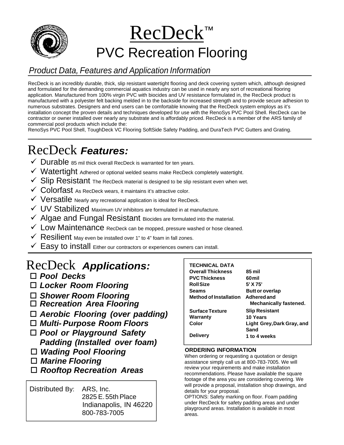

# RecDeck™ PVC Recreation Flooring

# *Product Data, Features and Application Information*

RecDeck is an incredibly durable, thick, slip resistant watertight flooring and deck covering system which, although designed and formulated for the demanding commercial aquatics industry can be used in nearly any sort of recreational flooring application. Manufactured from 100% virgin PVC with biocides and UV resistance formulated in, the RecDeck product is manufactured with a polyester felt backing melded in to the backside for increased strength and to provide secure adhesion to numerous substrates. Designers and end users can be comfortable knowing that the RecDeck system employs as it's installation concept the proven details and techniques developed for use with the RenoSys PVC Pool Shell. RecDeck can be contractor or owner installed over nearly any substrate and is affordably priced. RecDeck is a member of the ARS family of commercial pool products which include the:

RenoSys PVC Pool Shell, ToughDeck VC Flooring SoftSide Safety Padding, and DuraTech PVC Gutters and Grating.

# RecDeck *Features:*

- $\checkmark$  Durable 85 mil thick overall RecDeck is warranted for ten years.
- $\checkmark$  Watertight Adhered or optional welded seams make RecDeck completely watertight.
- $\checkmark$  Slip Resistant The RecDeck material is designed to be slip resistant even when wet.
- $\checkmark$  Colorfast As RecDeck wears, it maintains it's attractive color.
- $\checkmark$  Versatile Nearly any recreational application is ideal for RecDeck.
- $\checkmark$  UV Stabilized Maximum UV inhibitors are formulated in at manufacture.
- $\checkmark$  Algae and Fungal Resistant Biocides are formulated into the material.
- $\checkmark$  Low Maintenance RecDeck can be mopped, pressure washed or hose cleaned.
- $\checkmark$  Resilient May even be installed over 1" to 4" foam in fall zones.
- $\checkmark$  Easy to install Either our contractors or experiences owners can install.

# RecDeck *Applications:*

*Pool Decks*

- *Locker Room Flooring*
- *Shower Room Flooring*
- *Recreation Area Flooring*
- *Aerobic Flooring (over padding)*
- *Multi- Purpose Room Floors*
- *Pool or Playground Safety Padding (Installed over foam)*
- *Wading Pool Flooring*
- *Marine Flooring*
- *Rooftop Recreation Areas*

Distributed By: ARS, Inc. 2825 E. 55th Place Indianapolis, IN 46220 800-783-7005

| <b>TECHNICAL DATA</b>              |                            |
|------------------------------------|----------------------------|
| <b>Overall Thickness</b>           | 85 mil                     |
| <b>PVC Thickness</b>               | 60 mil                     |
| <b>Roll Size</b>                   | 5' X 75'                   |
| Seams                              | <b>Butt or overlap</b>     |
| Method of Installation Adhered and |                            |
|                                    | Mechanically fastened.     |
| <b>Surface Texture</b>             | <b>Slip Resistant</b>      |
| Warranty                           | 10 Years                   |
| Color                              | Light Grey, Dark Gray, and |
|                                    | Sand                       |
| <b>Delivery</b>                    | 1 to 4 weeks               |
|                                    |                            |

#### **ORDERING INFORMATION**

When ordering or requesting a quotation or design assistance simply call us at 800-783-7005. We will review your requirements and make installation recommendations. Please have available the square footage of the area you are considering covering. We will provide a proposal, installation shop drawings, and details for your proposal.

OPTIONS: Safety marking on floor. Foam padding under RecDeck for safety padding areas and under playground areas. Installation is available in most areas.